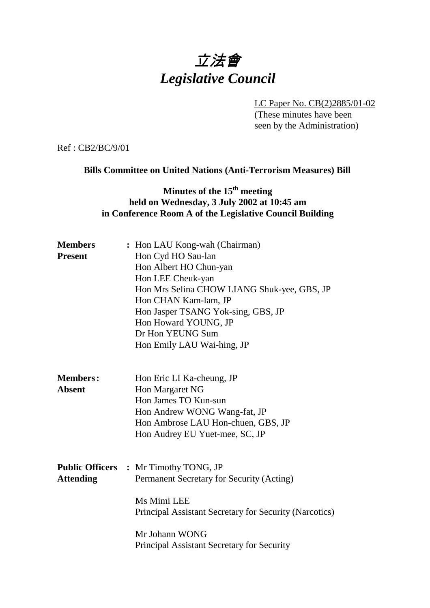# 立法會 *Legislative Council*

LC Paper No. CB(2)2885/01-02 (These minutes have been seen by the Administration)

Ref : CB2/BC/9/01

#### **Bills Committee on United Nations (Anti-Terrorism Measures) Bill**

## **Minutes of the 15<sup>th</sup> meeting held on Wednesday, 3 July 2002 at 10:45 am in Conference Room A of the Legislative Council Building**

| <b>Members</b>   | : Hon LAU Kong-wah (Chairman)                          |  |  |
|------------------|--------------------------------------------------------|--|--|
| <b>Present</b>   | Hon Cyd HO Sau-lan                                     |  |  |
|                  | Hon Albert HO Chun-yan                                 |  |  |
|                  | Hon LEE Cheuk-yan                                      |  |  |
|                  | Hon Mrs Selina CHOW LIANG Shuk-yee, GBS, JP            |  |  |
|                  | Hon CHAN Kam-lam, JP                                   |  |  |
|                  | Hon Jasper TSANG Yok-sing, GBS, JP                     |  |  |
|                  | Hon Howard YOUNG, JP                                   |  |  |
|                  | Dr Hon YEUNG Sum                                       |  |  |
|                  | Hon Emily LAU Wai-hing, JP                             |  |  |
| <b>Members:</b>  |                                                        |  |  |
| <b>Absent</b>    | Hon Eric LI Ka-cheung, JP<br>Hon Margaret NG           |  |  |
|                  | Hon James TO Kun-sun                                   |  |  |
|                  | Hon Andrew WONG Wang-fat, JP                           |  |  |
|                  | Hon Ambrose LAU Hon-chuen, GBS, JP                     |  |  |
|                  | Hon Audrey EU Yuet-mee, SC, JP                         |  |  |
|                  |                                                        |  |  |
|                  | <b>Public Officers : Mr Timothy TONG, JP</b>           |  |  |
| <b>Attending</b> | Permanent Secretary for Security (Acting)              |  |  |
|                  | Ms Mimi LEE                                            |  |  |
|                  | Principal Assistant Secretary for Security (Narcotics) |  |  |
|                  | Mr Johann WONG                                         |  |  |
|                  | Principal Assistant Secretary for Security             |  |  |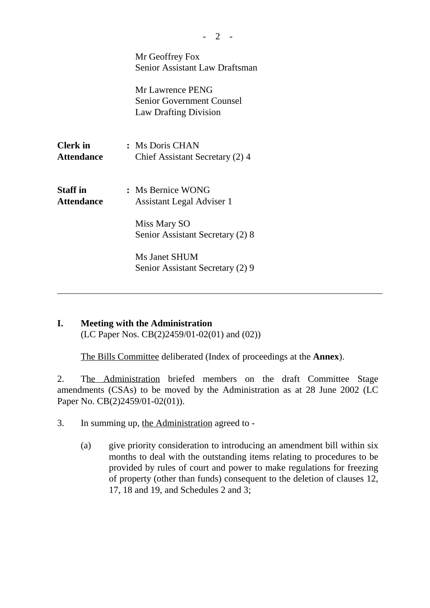|                                      | Mr Geoffrey Fox<br><b>Senior Assistant Law Draftsman</b>                                    |  |
|--------------------------------------|---------------------------------------------------------------------------------------------|--|
|                                      | <b>Mr Lawrence PENG</b><br><b>Senior Government Counsel</b><br><b>Law Drafting Division</b> |  |
| <b>Clerk</b> in<br><b>Attendance</b> | : Ms Doris CHAN<br>Chief Assistant Secretary (2) 4                                          |  |
| <b>Staff</b> in<br><b>Attendance</b> | : Ms Bernice WONG<br>Assistant Legal Adviser 1                                              |  |
|                                      | Miss Mary SO<br>Senior Assistant Secretary (2) 8                                            |  |
|                                      | Ms Janet SHUM<br>Senior Assistant Secretary (2) 9                                           |  |

### **I. Meeting with the Administration** (LC Paper Nos. CB(2)2459/01-02(01) and (02))

The Bills Committee deliberated (Index of proceedings at the **Annex**).

2. The Administration briefed members on the draft Committee Stage amendments (CSAs) to be moved by the Administration as at 28 June 2002 (LC Paper No. CB(2)2459/01-02(01)).

- 3. In summing up, the Administration agreed to
	- (a) give priority consideration to introducing an amendment bill within six months to deal with the outstanding items relating to procedures to be provided by rules of court and power to make regulations for freezing of property (other than funds) consequent to the deletion of clauses 12, 17, 18 and 19, and Schedules 2 and 3;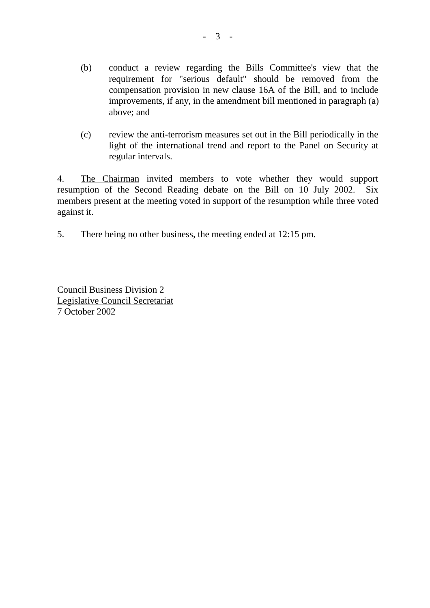- (b) conduct a review regarding the Bills Committee's view that the requirement for "serious default" should be removed from the compensation provision in new clause 16A of the Bill, and to include improvements, if any, in the amendment bill mentioned in paragraph (a) above; and
- (c) review the anti-terrorism measures set out in the Bill periodically in the light of the international trend and report to the Panel on Security at regular intervals.

4. The Chairman invited members to vote whether they would support resumption of the Second Reading debate on the Bill on 10 July 2002. Six members present at the meeting voted in support of the resumption while three voted against it.

5. There being no other business, the meeting ended at 12:15 pm.

Council Business Division 2 Legislative Council Secretariat 7 October 2002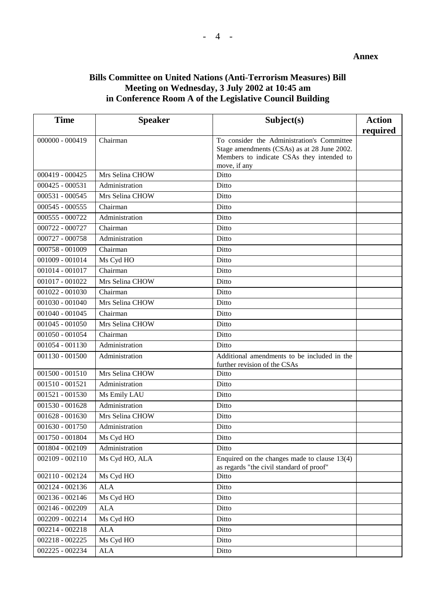#### **Annex**

### **Bills Committee on United Nations (Anti-Terrorism Measures) Bill Meeting on Wednesday, 3 July 2002 at 10:45 am in Conference Room A of the Legislative Council Building**

| <b>Time</b>       | <b>Speaker</b>  | Subject(s)                                                                                 | <b>Action</b> |
|-------------------|-----------------|--------------------------------------------------------------------------------------------|---------------|
|                   |                 |                                                                                            | required      |
| $000000 - 000419$ | Chairman        | To consider the Administration's Committee                                                 |               |
|                   |                 | Stage amendments (CSAs) as at 28 June 2002.<br>Members to indicate CSAs they intended to   |               |
|                   |                 | move, if any                                                                               |               |
| 000419 - 000425   | Mrs Selina CHOW | Ditto                                                                                      |               |
| $000425 - 000531$ | Administration  | Ditto                                                                                      |               |
| 000531 - 000545   | Mrs Selina CHOW | Ditto                                                                                      |               |
| $000545 - 000555$ | Chairman        | Ditto                                                                                      |               |
| 000555 - 000722   | Administration  | Ditto                                                                                      |               |
| 000722 - 000727   | Chairman        | Ditto                                                                                      |               |
| 000727 - 000758   | Administration  | Ditto                                                                                      |               |
| 000758 - 001009   | Chairman        | Ditto                                                                                      |               |
| 001009 - 001014   | Ms Cyd HO       | Ditto                                                                                      |               |
| 001014 - 001017   | Chairman        | Ditto                                                                                      |               |
| 001017 - 001022   | Mrs Selina CHOW | Ditto                                                                                      |               |
| 001022 - 001030   | Chairman        | Ditto                                                                                      |               |
| $001030 - 001040$ | Mrs Selina CHOW | Ditto                                                                                      |               |
| 001040 - 001045   | Chairman        | Ditto                                                                                      |               |
| $001045 - 001050$ | Mrs Selina CHOW | Ditto                                                                                      |               |
| $001050 - 001054$ | Chairman        | Ditto                                                                                      |               |
| 001054 - 001130   | Administration  | Ditto                                                                                      |               |
| $001130 - 001500$ | Administration  | Additional amendments to be included in the<br>further revision of the CSAs                |               |
| $001500 - 001510$ | Mrs Selina CHOW | Ditto                                                                                      |               |
| $001510 - 001521$ | Administration  | Ditto                                                                                      |               |
| $001521 - 001530$ | Ms Emily LAU    | Ditto                                                                                      |               |
| 001530 - 001628   | Administration  | Ditto                                                                                      |               |
| $001628 - 001630$ | Mrs Selina CHOW | Ditto                                                                                      |               |
| 001630 - 001750   | Administration  | Ditto                                                                                      |               |
| 001750 - 001804   | Ms Cyd HO       | Ditto                                                                                      |               |
| 001804 - 002109   | Administration  | Ditto                                                                                      |               |
| $002109 - 002110$ | Ms Cyd HO, ALA  | Enquired on the changes made to clause $13(4)$<br>as regards "the civil standard of proof" |               |
| 002110 - 002124   | Ms Cyd HO       | Ditto                                                                                      |               |
| 002124 - 002136   | <b>ALA</b>      | Ditto                                                                                      |               |
| 002136 - 002146   | Ms Cyd HO       | Ditto                                                                                      |               |
| 002146 - 002209   | <b>ALA</b>      | Ditto                                                                                      |               |
| 002209 - 002214   | Ms Cyd HO       | Ditto                                                                                      |               |
| 002214 - 002218   | <b>ALA</b>      | Ditto                                                                                      |               |
| 002218 - 002225   | Ms Cyd HO       | Ditto                                                                                      |               |
| 002225 - 002234   | ALA             | Ditto                                                                                      |               |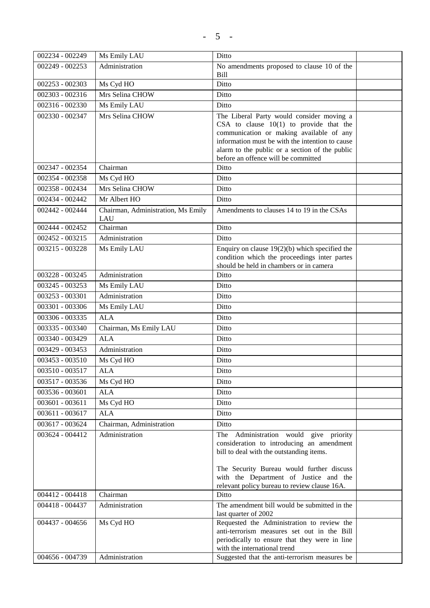| 002234 - 002249 | Ms Emily LAU                              | Ditto                                                                                                                                                                                                                                                                          |  |
|-----------------|-------------------------------------------|--------------------------------------------------------------------------------------------------------------------------------------------------------------------------------------------------------------------------------------------------------------------------------|--|
| 002249 - 002253 | Administration                            | No amendments proposed to clause 10 of the                                                                                                                                                                                                                                     |  |
|                 |                                           | Bill                                                                                                                                                                                                                                                                           |  |
| 002253 - 002303 | Ms Cyd HO                                 | Ditto                                                                                                                                                                                                                                                                          |  |
| 002303 - 002316 | Mrs Selina CHOW                           | Ditto                                                                                                                                                                                                                                                                          |  |
| 002316 - 002330 | Ms Emily LAU                              | Ditto                                                                                                                                                                                                                                                                          |  |
| 002330 - 002347 | Mrs Selina CHOW                           | The Liberal Party would consider moving a<br>CSA to clause $10(1)$ to provide that the<br>communication or making available of any<br>information must be with the intention to cause<br>alarm to the public or a section of the public<br>before an offence will be committed |  |
| 002347 - 002354 | Chairman                                  | Ditto                                                                                                                                                                                                                                                                          |  |
| 002354 - 002358 | Ms Cyd HO                                 | Ditto                                                                                                                                                                                                                                                                          |  |
| 002358 - 002434 | Mrs Selina CHOW                           | Ditto                                                                                                                                                                                                                                                                          |  |
| 002434 - 002442 | Mr Albert HO                              | Ditto                                                                                                                                                                                                                                                                          |  |
| 002442 - 002444 | Chairman, Administration, Ms Emily<br>LAU | Amendments to clauses 14 to 19 in the CSAs                                                                                                                                                                                                                                     |  |
| 002444 - 002452 | Chairman                                  | Ditto                                                                                                                                                                                                                                                                          |  |
| 002452 - 003215 | Administration                            | Ditto                                                                                                                                                                                                                                                                          |  |
| 003215 - 003228 | Ms Emily LAU                              | Enquiry on clause $19(2)(b)$ which specified the<br>condition which the proceedings inter partes<br>should be held in chambers or in camera                                                                                                                                    |  |
| 003228 - 003245 | Administration                            | Ditto                                                                                                                                                                                                                                                                          |  |
| 003245 - 003253 | Ms Emily LAU                              | Ditto                                                                                                                                                                                                                                                                          |  |
| 003253 - 003301 | Administration                            | Ditto                                                                                                                                                                                                                                                                          |  |
| 003301 - 003306 | Ms Emily LAU                              | Ditto                                                                                                                                                                                                                                                                          |  |
| 003306 - 003335 | <b>ALA</b>                                | Ditto                                                                                                                                                                                                                                                                          |  |
| 003335 - 003340 | Chairman, Ms Emily LAU                    | Ditto                                                                                                                                                                                                                                                                          |  |
| 003340 - 003429 | <b>ALA</b>                                | Ditto                                                                                                                                                                                                                                                                          |  |
| 003429 - 003453 | Administration                            | Ditto                                                                                                                                                                                                                                                                          |  |
| 003453 - 003510 | Ms Cyd HO                                 | Ditto                                                                                                                                                                                                                                                                          |  |
| 003510 - 003517 | <b>ALA</b>                                | Ditto                                                                                                                                                                                                                                                                          |  |
| 003517 - 003536 | Ms Cyd HO                                 | Ditto                                                                                                                                                                                                                                                                          |  |
| 003536 - 003601 | <b>ALA</b>                                | Ditto                                                                                                                                                                                                                                                                          |  |
| 003601 - 003611 | Ms Cyd HO                                 | Ditto                                                                                                                                                                                                                                                                          |  |
| 003611 - 003617 | <b>ALA</b>                                | Ditto                                                                                                                                                                                                                                                                          |  |
| 003617 - 003624 | Chairman, Administration                  | Ditto                                                                                                                                                                                                                                                                          |  |
| 003624 - 004412 | Administration                            | The Administration would give priority<br>consideration to introducing an amendment<br>bill to deal with the outstanding items.<br>The Security Bureau would further discuss<br>with the Department of Justice and the<br>relevant policy bureau to review clause 16A.         |  |
| 004412 - 004418 | Chairman                                  | Ditto                                                                                                                                                                                                                                                                          |  |
| 004418 - 004437 | Administration                            | The amendment bill would be submitted in the<br>last quarter of 2002                                                                                                                                                                                                           |  |
| 004437 - 004656 | Ms Cyd HO                                 | Requested the Administration to review the<br>anti-terrorism measures set out in the Bill<br>periodically to ensure that they were in line<br>with the international trend                                                                                                     |  |
| 004656 - 004739 | Administration                            | Suggested that the anti-terrorism measures be                                                                                                                                                                                                                                  |  |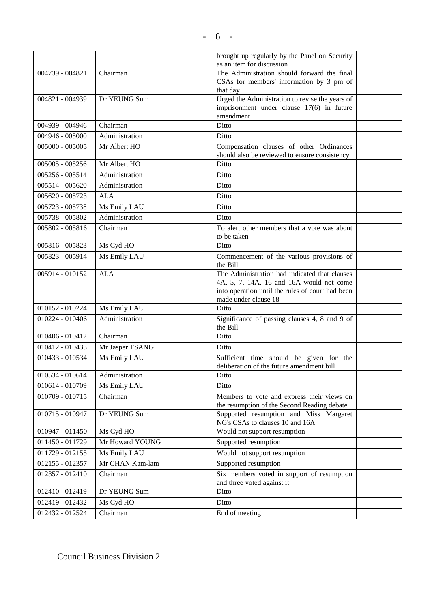|                 |                 | brought up regularly by the Panel on Security                                           |  |
|-----------------|-----------------|-----------------------------------------------------------------------------------------|--|
|                 |                 | as an item for discussion                                                               |  |
| 004739 - 004821 | Chairman        | The Administration should forward the final<br>CSAs for members' information by 3 pm of |  |
|                 |                 | that day                                                                                |  |
| 004821 - 004939 | Dr YEUNG Sum    | Urged the Administration to revise the years of                                         |  |
|                 |                 | imprisonment under clause 17(6) in future                                               |  |
|                 |                 | amendment                                                                               |  |
| 004939 - 004946 | Chairman        | Ditto                                                                                   |  |
| 004946 - 005000 | Administration  | Ditto                                                                                   |  |
| 005000 - 005005 | Mr Albert HO    | Compensation clauses of other Ordinances                                                |  |
| 005005 - 005256 | Mr Albert HO    | should also be reviewed to ensure consistency<br>Ditto                                  |  |
|                 |                 |                                                                                         |  |
| 005256 - 005514 | Administration  | Ditto                                                                                   |  |
| 005514 - 005620 | Administration  | Ditto                                                                                   |  |
| 005620 - 005723 | <b>ALA</b>      | Ditto                                                                                   |  |
| 005723 - 005738 | Ms Emily LAU    | Ditto                                                                                   |  |
| 005738 - 005802 | Administration  | Ditto                                                                                   |  |
| 005802 - 005816 | Chairman        | To alert other members that a vote was about                                            |  |
| 005816 - 005823 | Ms Cyd HO       | to be taken<br>Ditto                                                                    |  |
| 005823 - 005914 | Ms Emily LAU    | Commencement of the various provisions of                                               |  |
|                 |                 | the Bill                                                                                |  |
| 005914 - 010152 | <b>ALA</b>      | The Administration had indicated that clauses                                           |  |
|                 |                 | 4A, 5, 7, 14A, 16 and 16A would not come                                                |  |
|                 |                 | into operation until the rules of court had been<br>made under clause 18                |  |
| 010152 - 010224 | Ms Emily LAU    | Ditto                                                                                   |  |
| 010224 - 010406 | Administration  | Significance of passing clauses 4, 8 and 9 of                                           |  |
|                 |                 | the Bill                                                                                |  |
| 010406 - 010412 | Chairman        | Ditto                                                                                   |  |
| 010412 - 010433 | Mr Jasper TSANG | Ditto                                                                                   |  |
| 010433 - 010534 | Ms Emily LAU    | Sufficient time should be given for the<br>deliberation of the future amendment bill    |  |
| 010534 - 010614 | Administration  | Ditto                                                                                   |  |
| 010614 - 010709 | Ms Emily LAU    | Ditto                                                                                   |  |
| 010709 - 010715 | Chairman        | Members to vote and express their views on                                              |  |
|                 |                 | the resumption of the Second Reading debate                                             |  |
| 010715 - 010947 | Dr YEUNG Sum    | Supported resumption and Miss Margaret<br>NG's CSAs to clauses 10 and 16A               |  |
| 010947 - 011450 | Ms Cyd HO       | Would not support resumption                                                            |  |
| 011450 - 011729 | Mr Howard YOUNG | Supported resumption                                                                    |  |
| 011729 - 012155 | Ms Emily LAU    | Would not support resumption                                                            |  |
| 012155 - 012357 | Mr CHAN Kam-lam | Supported resumption                                                                    |  |
| 012357 - 012410 | Chairman        | Six members voted in support of resumption                                              |  |
|                 |                 | and three voted against it                                                              |  |
| 012410 - 012419 | Dr YEUNG Sum    | Ditto                                                                                   |  |
| 012419 - 012432 | Ms Cyd HO       | Ditto                                                                                   |  |
| 012432 - 012524 | Chairman        | End of meeting                                                                          |  |